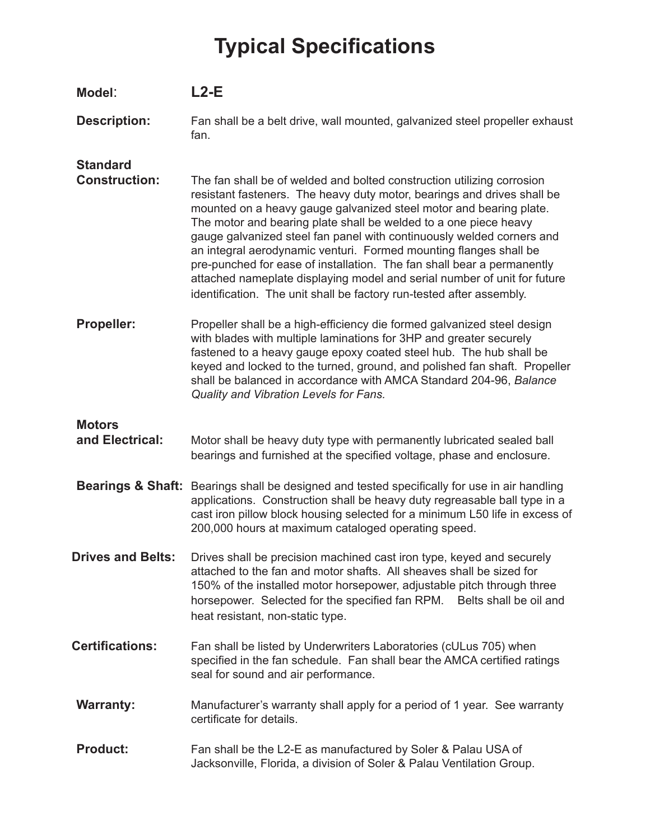## **Typical Specifications**

| Model:                                  | $L2-E$                                                                                                                                                                                                                                                                                                                                                                                                                                                                                                                                                                                                                                                                  |
|-----------------------------------------|-------------------------------------------------------------------------------------------------------------------------------------------------------------------------------------------------------------------------------------------------------------------------------------------------------------------------------------------------------------------------------------------------------------------------------------------------------------------------------------------------------------------------------------------------------------------------------------------------------------------------------------------------------------------------|
| <b>Description:</b>                     | Fan shall be a belt drive, wall mounted, galvanized steel propeller exhaust<br>fan.                                                                                                                                                                                                                                                                                                                                                                                                                                                                                                                                                                                     |
| <b>Standard</b><br><b>Construction:</b> | The fan shall be of welded and bolted construction utilizing corrosion<br>resistant fasteners. The heavy duty motor, bearings and drives shall be<br>mounted on a heavy gauge galvanized steel motor and bearing plate.<br>The motor and bearing plate shall be welded to a one piece heavy<br>gauge galvanized steel fan panel with continuously welded corners and<br>an integral aerodynamic venturi. Formed mounting flanges shall be<br>pre-punched for ease of installation. The fan shall bear a permanently<br>attached nameplate displaying model and serial number of unit for future<br>identification. The unit shall be factory run-tested after assembly. |
| Propeller:                              | Propeller shall be a high-efficiency die formed galvanized steel design<br>with blades with multiple laminations for 3HP and greater securely<br>fastened to a heavy gauge epoxy coated steel hub. The hub shall be<br>keyed and locked to the turned, ground, and polished fan shaft. Propeller<br>shall be balanced in accordance with AMCA Standard 204-96, Balance<br>Quality and Vibration Levels for Fans.                                                                                                                                                                                                                                                        |
| <b>Motors</b><br>and Electrical:        | Motor shall be heavy duty type with permanently lubricated sealed ball<br>bearings and furnished at the specified voltage, phase and enclosure.                                                                                                                                                                                                                                                                                                                                                                                                                                                                                                                         |
|                                         | Bearings & Shaft: Bearings shall be designed and tested specifically for use in air handling<br>applications. Construction shall be heavy duty regreasable ball type in a<br>cast iron pillow block housing selected for a minimum L50 life in excess of<br>200,000 hours at maximum cataloged operating speed.                                                                                                                                                                                                                                                                                                                                                         |
| <b>Drives and Belts:</b>                | Drives shall be precision machined cast iron type, keyed and securely<br>attached to the fan and motor shafts. All sheaves shall be sized for<br>150% of the installed motor horsepower, adjustable pitch through three<br>horsepower. Selected for the specified fan RPM. Belts shall be oil and<br>heat resistant, non-static type.                                                                                                                                                                                                                                                                                                                                   |
| <b>Certifications:</b>                  | Fan shall be listed by Underwriters Laboratories (cULus 705) when<br>specified in the fan schedule. Fan shall bear the AMCA certified ratings<br>seal for sound and air performance.                                                                                                                                                                                                                                                                                                                                                                                                                                                                                    |
| <b>Warranty:</b>                        | Manufacturer's warranty shall apply for a period of 1 year. See warranty<br>certificate for details.                                                                                                                                                                                                                                                                                                                                                                                                                                                                                                                                                                    |
| <b>Product:</b>                         | Fan shall be the L2-E as manufactured by Soler & Palau USA of<br>Jacksonville, Florida, a division of Soler & Palau Ventilation Group.                                                                                                                                                                                                                                                                                                                                                                                                                                                                                                                                  |